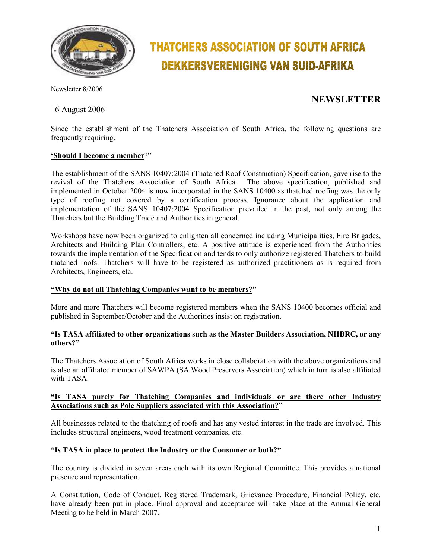

# **THATCHERS ASSOCIATION OF SOUTH AFRICA DEKKERSVERENIGING VAN SUID-AFRIKA**

Newsletter 8/2006

# 16 August 2006

# **NEWSLETTER**

Since the establishment of the Thatchers Association of South Africa, the following questions are frequently requiring.

### **'Should I become a member**?"

The establishment of the SANS 10407:2004 (Thatched Roof Construction) Specification, gave rise to the revival of the Thatchers Association of South Africa. The above specification, published and implemented in October 2004 is now incorporated in the SANS 10400 as thatched roofing was the only type of roofing not covered by a certification process. Ignorance about the application and implementation of the SANS 10407:2004 Specification prevailed in the past, not only among the Thatchers but the Building Trade and Authorities in general.

Workshops have now been organized to enlighten all concerned including Municipalities, Fire Brigades, Architects and Building Plan Controllers, etc. A positive attitude is experienced from the Authorities towards the implementation of the Specification and tends to only authorize registered Thatchers to build thatched roofs. Thatchers will have to be registered as authorized practitioners as is required from Architects, Engineers, etc.

#### **"Why do not all Thatching Companies want to be members?"**

More and more Thatchers will become registered members when the SANS 10400 becomes official and published in September/October and the Authorities insist on registration.

### **"Is TASA affiliated to other organizations such as the Master Builders Association, NHBRC, or any others?"**

The Thatchers Association of South Africa works in close collaboration with the above organizations and is also an affiliated member of SAWPA (SA Wood Preservers Association) which in turn is also affiliated with TASA.

#### **"Is TASA purely for Thatching Companies and individuals or are there other Industry Associations such as Pole Suppliers associated with this Association?"**

All businesses related to the thatching of roofs and has any vested interest in the trade are involved. This includes structural engineers, wood treatment companies, etc.

# **"Is TASA in place to protect the Industry or the Consumer or both?"**

The country is divided in seven areas each with its own Regional Committee. This provides a national presence and representation.

A Constitution, Code of Conduct, Registered Trademark, Grievance Procedure, Financial Policy, etc. have already been put in place. Final approval and acceptance will take place at the Annual General Meeting to be held in March 2007.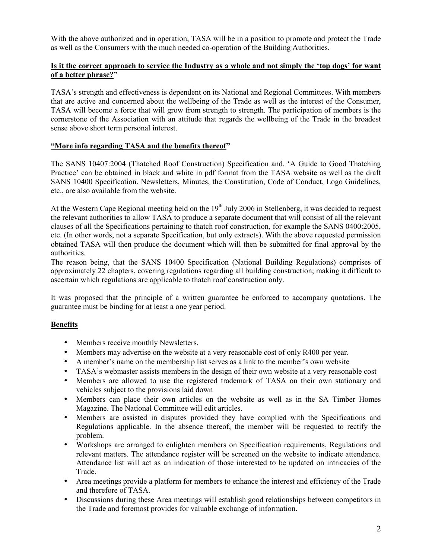With the above authorized and in operation, TASA will be in a position to promote and protect the Trade as well as the Consumers with the much needed co-operation of the Building Authorities.

# **Is it the correct approach to service the Industry as a whole and not simply the 'top dogs' for want of a better phrase?"**

TASA's strength and effectiveness is dependent on its National and Regional Committees. With members that are active and concerned about the wellbeing of the Trade as well as the interest of the Consumer, TASA will become a force that will grow from strength to strength. The participation of members is the cornerstone of the Association with an attitude that regards the wellbeing of the Trade in the broadest sense above short term personal interest.

### **"More info regarding TASA and the benefits thereof"**

The SANS 10407:2004 (Thatched Roof Construction) Specification and. 'A Guide to Good Thatching Practice' can be obtained in black and white in pdf format from the TASA website as well as the draft SANS 10400 Specification. Newsletters, Minutes, the Constitution, Code of Conduct, Logo Guidelines, etc., are also available from the website.

At the Western Cape Regional meeting held on the  $19<sup>th</sup>$  July 2006 in Stellenberg, it was decided to request the relevant authorities to allow TASA to produce a separate document that will consist of all the relevant clauses of all the Specifications pertaining to thatch roof construction, for example the SANS 0400:2005, etc. (In other words, not a separate Specification, but only extracts). With the above requested permission obtained TASA will then produce the document which will then be submitted for final approval by the authorities.

The reason being, that the SANS 10400 Specification (National Building Regulations) comprises of approximately 22 chapters, covering regulations regarding all building construction; making it difficult to ascertain which regulations are applicable to thatch roof construction only.

It was proposed that the principle of a written guarantee be enforced to accompany quotations. The guarantee must be binding for at least a one year period.

# **Benefits**

- Members receive monthly Newsletters.
- Members may advertise on the website at a very reasonable cost of only R400 per year.
- A member's name on the membership list serves as a link to the member's own website
- TASA's webmaster assists members in the design of their own website at a very reasonable cost
- Members are allowed to use the registered trademark of TASA on their own stationary and vehicles subject to the provisions laid down
- Members can place their own articles on the website as well as in the SA Timber Homes Magazine. The National Committee will edit articles.
- Members are assisted in disputes provided they have complied with the Specifications and Regulations applicable. In the absence thereof, the member will be requested to rectify the problem.
- Workshops are arranged to enlighten members on Specification requirements, Regulations and relevant matters. The attendance register will be screened on the website to indicate attendance. Attendance list will act as an indication of those interested to be updated on intricacies of the Trade.
- Area meetings provide a platform for members to enhance the interest and efficiency of the Trade and therefore of TASA.
- Discussions during these Area meetings will establish good relationships between competitors in the Trade and foremost provides for valuable exchange of information.